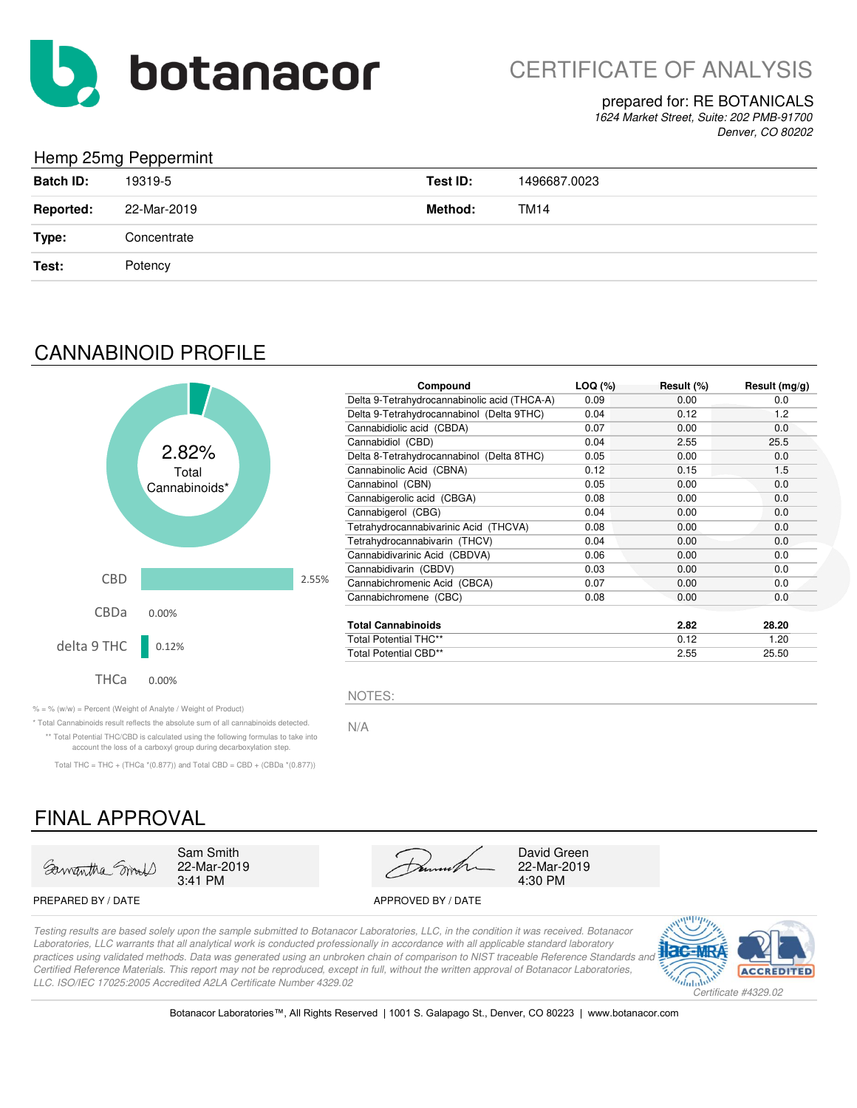

CERTIFICATE OF ANALYSIS

## prepared for: RE BOTANICALS

*1624 Market Street, Suite: 202 PMB-91700 Denver, CO 80202*

## Hemp 25mg Peppermint

|                  | $\tilde{\phantom{a}}$<br>. |          |              |
|------------------|----------------------------|----------|--------------|
| <b>Batch ID:</b> | 19319-5                    | Test ID: | 1496687.0023 |
| <b>Reported:</b> | 22-Mar-2019                | Method:  | <b>TM14</b>  |
| Type:            | Concentrate                |          |              |
| Test:            | Potency                    |          |              |
|                  |                            |          |              |

## CANNABINOID PROFILE



| Compound                                     | LOQ (%) | Result (%) | Result $(mg/g)$ |
|----------------------------------------------|---------|------------|-----------------|
| Delta 9-Tetrahydrocannabinolic acid (THCA-A) | 0.09    | 0.00       | 0.0             |
| Delta 9-Tetrahydrocannabinol (Delta 9THC)    | 0.04    | 0.12       | 1.2             |
| Cannabidiolic acid (CBDA)                    | 0.07    | 0.00       | 0.0             |
| Cannabidiol (CBD)                            | 0.04    | 2.55       | 25.5            |
| Delta 8-Tetrahydrocannabinol (Delta 8THC)    | 0.05    | 0.00       | 0.0             |
| Cannabinolic Acid (CBNA)                     | 0.12    | 0.15       | 1.5             |
| Cannabinol (CBN)                             | 0.05    | 0.00       | 0.0             |
| Cannabigerolic acid (CBGA)                   | 0.08    | 0.00       | 0.0             |
| Cannabigerol (CBG)                           | 0.04    | 0.00       | 0.0             |
| Tetrahydrocannabivarinic Acid (THCVA)        | 0.08    | 0.00       | 0.0             |
| Tetrahydrocannabivarin (THCV)                | 0.04    | 0.00       | 0.0             |
| Cannabidivarinic Acid (CBDVA)                | 0.06    | 0.00       | 0.0             |
| Cannabidivarin (CBDV)                        | 0.03    | 0.00       | 0.0             |
| Cannabichromenic Acid (CBCA)                 | 0.07    | 0.00       | 0.0             |
| Cannabichromene (CBC)                        | 0.08    | 0.00       | 0.0             |
| <b>Total Cannabinoids</b>                    |         | 2.82       | 28.20           |
| <b>Total Potential THC**</b>                 |         | 0.12       | 1.20            |
| Total Potential CBD**                        |         | 2.55       | 25.50           |

 $\% = \%$  (w/w) = Percent (Weight of Analyte / Weight of Product)

N/A \* Total Cannabinoids result reflects the absolute sum of all cannabinoids detected. \*\* Total Potential THC/CBD is calculated using the following formulas to take into account the loss of a carboxyl group during decarboxylation step.

Total THC = THC + (THCa  $*(0.877)$ ) and Total CBD = CBD + (CBDa  $*(0.877)$ )

## FINAL APPROVAL





### PREPARED BY / DATE APPROVED BY / DATE

*Testing results are based solely upon the sample submitted to Botanacor Laboratories, LLC, in the condition it was received. Botanacor Laboratories, LLC warrants that all analytical work is conducted professionally in accordance with all applicable standard laboratory*  practices using validated methods. Data was generated using an unbroken chain of comparison to NIST traceable Reference Standards and *Certified Reference Materials. This report may not be reproduced, except in full, without the written approval of Botanacor Laboratories, LLC. ISO/IEC 17025:2005 Accredited A2LA Certificate Number 4329.02*

NOTES:



Botanacor Laboratories™, All Rights Reserved | 1001 S. Galapago St., Denver, CO 80223 | www.botanacor.com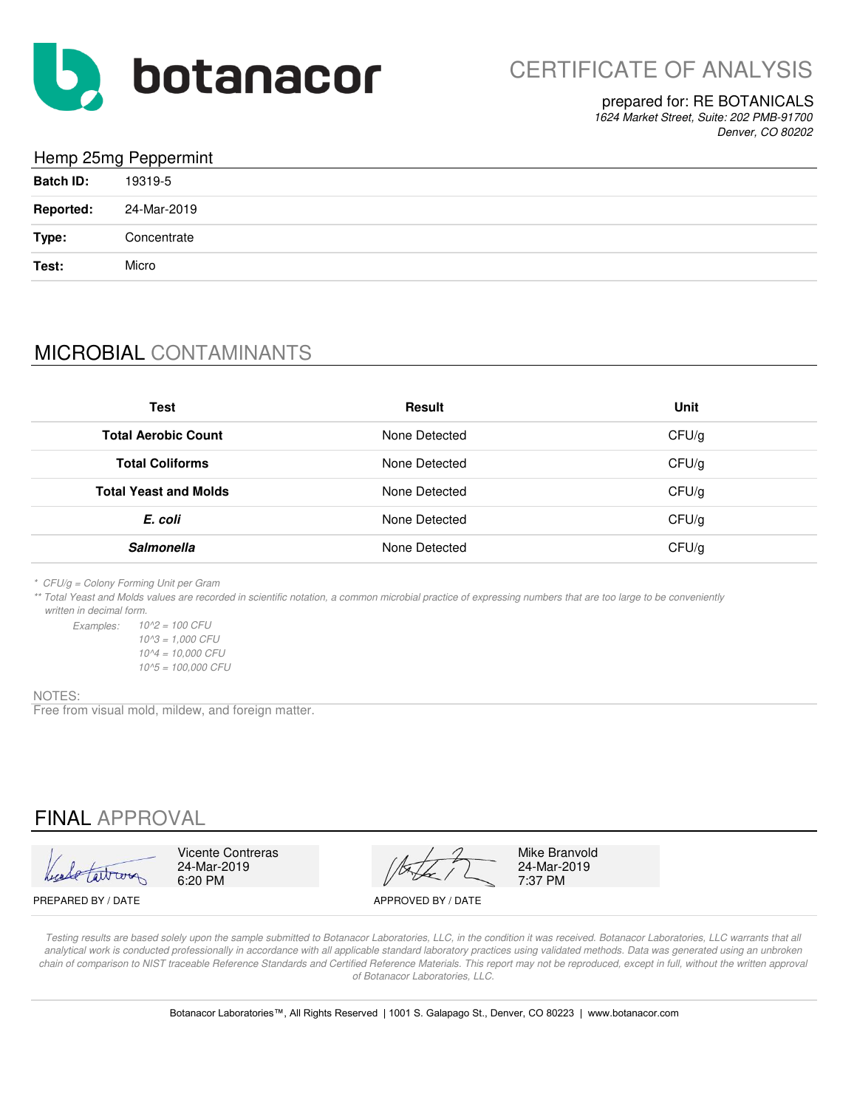

## prepared for: RE BOTANICALS

*1624 Market Street, Suite: 202 PMB-91700 Denver, CO 80202*

## Hemp 25mg Peppermint

| <b>Batch ID:</b> | 19319-5     |
|------------------|-------------|
| <b>Reported:</b> | 24-Mar-2019 |
| Type:            | Concentrate |
| Test:            | Micro       |

# MICROBIAL CONTAMINANTS

| Test                         | <b>Result</b> | Unit  |
|------------------------------|---------------|-------|
| <b>Total Aerobic Count</b>   | None Detected | CFU/g |
| <b>Total Coliforms</b>       | None Detected | CFU/g |
| <b>Total Yeast and Molds</b> | None Detected | CFU/g |
| E. coli                      | None Detected | CFU/g |
| <b>Salmonella</b>            | None Detected | CFU/g |

*\* CFU/g = Colony Forming Unit per Gram*

*\*\* Total Yeast and Molds values are recorded in scientific notation, a common microbial practice of expressing numbers that are too large to be conveniently written in decimal form.*

*Examples: 10^2 = 100 CFU 10^5 = 100,000 CFU 10^3 = 1,000 CFU 10^4 = 10,000 CFU*

### NOTES:

Free from visual mold, mildew, and foreign matter.

## FINAL APPROVAL

Vicente Contreras Mike Branvold<br>24-Mar-2019 24-Mar-2019 24-Mar-2019 24-Mar-2019 24-Mar-2019 6:20 PM  $\sqrt{2}$  7:37 PM

PREPARED BY / DATE APPROVED BY / DATE

*Testing results are based solely upon the sample submitted to Botanacor Laboratories, LLC, in the condition it was received. Botanacor Laboratories, LLC warrants that all*  analytical work is conducted professionally in accordance with all applicable standard laboratory practices using validated methods. Data was generated using an unbroken *chain of comparison to NIST traceable Reference Standards and Certified Reference Materials. This report may not be reproduced, except in full, without the written approval of Botanacor Laboratories, LLC.*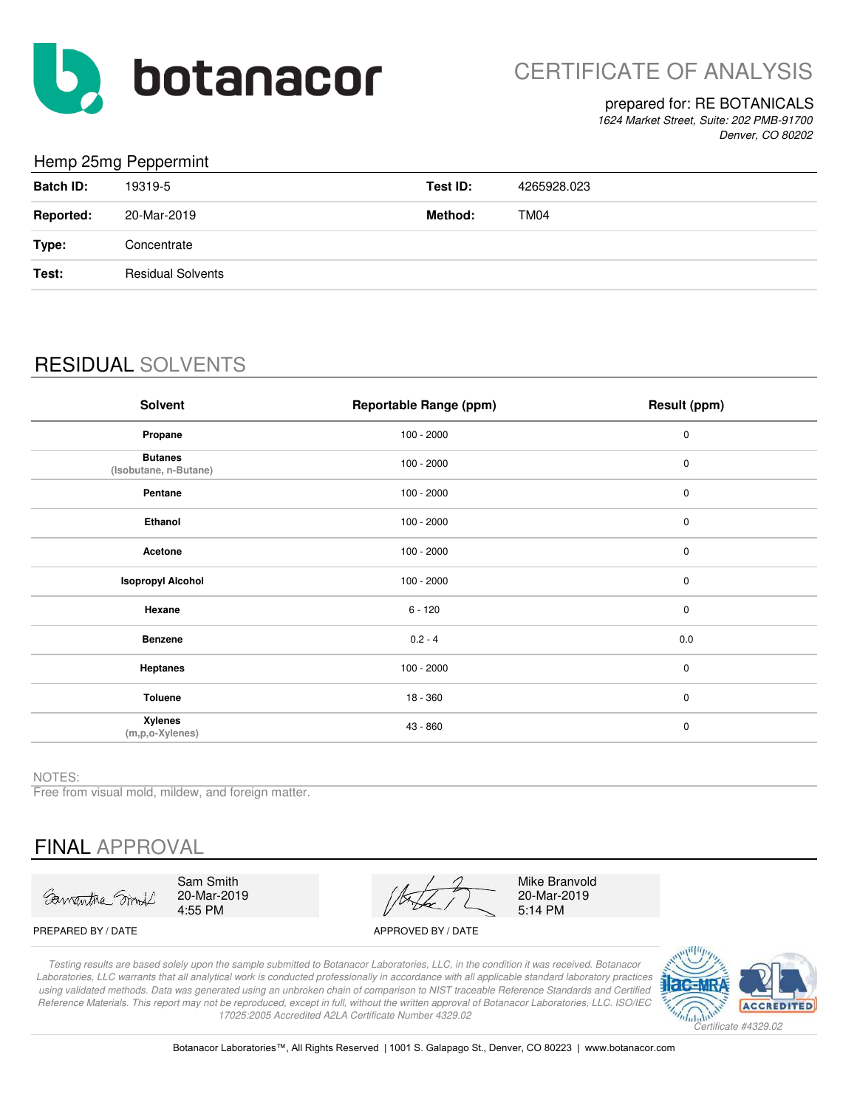

## prepared for: RE BOTANICALS

*1624 Market Street, Suite: 202 PMB-91700 Denver, CO 80202*

## Hemp 25mg Peppermint

|                  | $\sim$ $\sim$ $\sim$     |          |             |
|------------------|--------------------------|----------|-------------|
| <b>Batch ID:</b> | 19319-5                  | Test ID: | 4265928.023 |
| <b>Reported:</b> | 20-Mar-2019              | Method:  | TM04        |
| Type:            | Concentrate              |          |             |
| Test:            | <b>Residual Solvents</b> |          |             |
|                  |                          |          |             |

# RESIDUAL SOLVENTS

| <b>Solvent</b>                          | Reportable Range (ppm) | Result (ppm) |
|-----------------------------------------|------------------------|--------------|
| Propane                                 | $100 - 2000$           | $\pmb{0}$    |
| <b>Butanes</b><br>(Isobutane, n-Butane) | $100 - 2000$           | $\pmb{0}$    |
| Pentane                                 | $100 - 2000$           | 0            |
| Ethanol                                 | $100 - 2000$           | $\pmb{0}$    |
| Acetone                                 | $100 - 2000$           | $\pmb{0}$    |
| <b>Isopropyl Alcohol</b>                | $100 - 2000$           | 0            |
| Hexane                                  | $6 - 120$              | $\pmb{0}$    |
| <b>Benzene</b>                          | $0.2 - 4$              | 0.0          |
| <b>Heptanes</b>                         | $100 - 2000$           | $\pmb{0}$    |
| Toluene                                 | $18 - 360$             | $\pmb{0}$    |
| Xylenes<br>(m,p,o-Xylenes)              | 43 - 860               | $\pmb{0}$    |

NOTES:

Free from visual mold, mildew, and foreign matter.

# FINAL APPROVAL

Sawantha Smoll

Sam Smith 20-Mar-2019 4:55 PM

20-Mar-2019 5:14 PM Mike Branvold

PREPARED BY / DATE APPROVED BY / DATE

*Testing results are based solely upon the sample submitted to Botanacor Laboratories, LLC, in the condition it was received. Botanacor Laboratories, LLC warrants that all analytical work is conducted professionally in accordance with all applicable standard laboratory practices using validated methods. Data was generated using an unbroken chain of comparison to NIST traceable Reference Standards and Certified Reference Materials. This report may not be reproduced, except in full, without the written approval of Botanacor Laboratories, LLC. ISO/IEC 17025:2005 Accredited A2LA Certificate Number 4329.02*



Botanacor Laboratories™, All Rights Reserved | 1001 S. Galapago St., Denver, CO 80223 | www.botanacor.com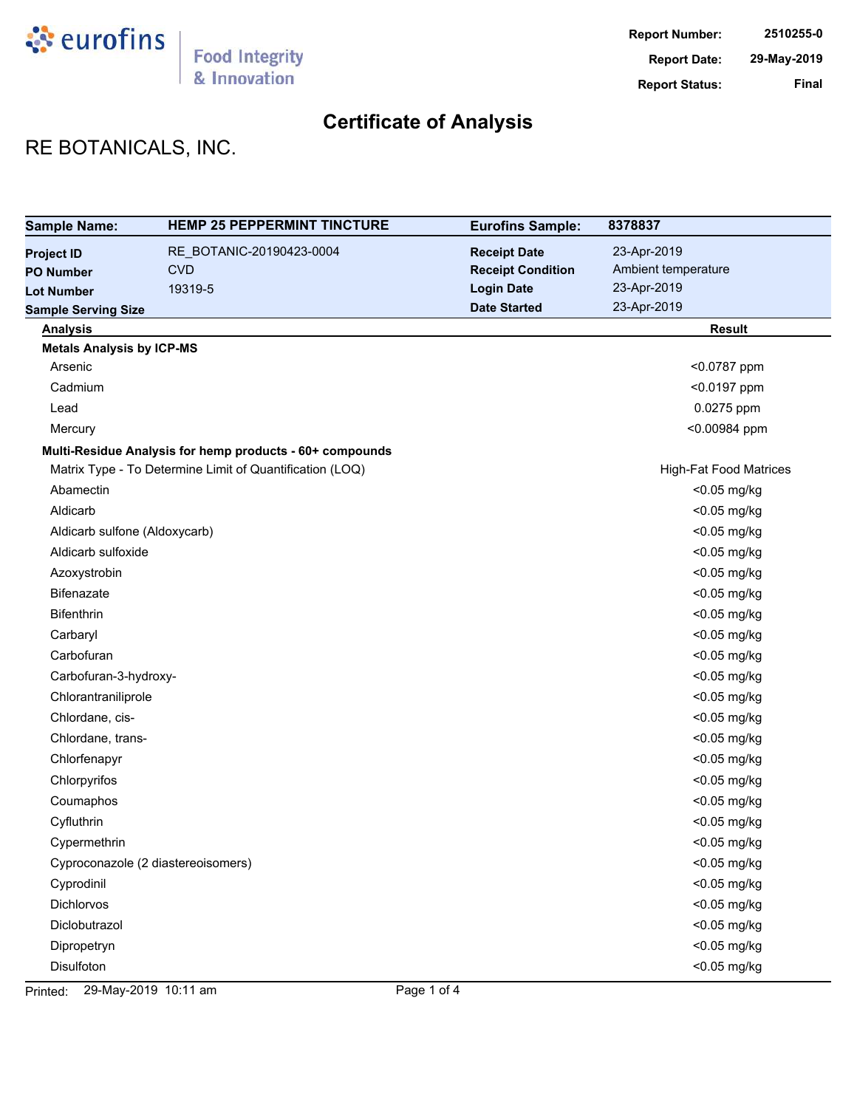

# RE BOTANICALS, INC.

| <b>Sample Name:</b>              | <b>HEMP 25 PEPPERMINT TINCTURE</b>                       | <b>Eurofins Sample:</b>  | 8378837                       |
|----------------------------------|----------------------------------------------------------|--------------------------|-------------------------------|
| <b>Project ID</b>                | RE_BOTANIC-20190423-0004                                 | <b>Receipt Date</b>      | 23-Apr-2019                   |
| <b>PO Number</b>                 | <b>CVD</b>                                               | <b>Receipt Condition</b> | Ambient temperature           |
| <b>Lot Number</b>                | 19319-5                                                  | <b>Login Date</b>        | 23-Apr-2019                   |
| <b>Sample Serving Size</b>       |                                                          | <b>Date Started</b>      | 23-Apr-2019                   |
| <b>Analysis</b>                  |                                                          |                          | <b>Result</b>                 |
| <b>Metals Analysis by ICP-MS</b> |                                                          |                          |                               |
| Arsenic                          |                                                          |                          | <0.0787 ppm                   |
| Cadmium                          |                                                          |                          | <0.0197 ppm                   |
| Lead                             |                                                          |                          | 0.0275 ppm                    |
| Mercury                          |                                                          |                          | <0.00984 ppm                  |
|                                  | Multi-Residue Analysis for hemp products - 60+ compounds |                          |                               |
|                                  | Matrix Type - To Determine Limit of Quantification (LOQ) |                          | <b>High-Fat Food Matrices</b> |
| Abamectin                        |                                                          |                          | <0.05 mg/kg                   |
| Aldicarb                         |                                                          |                          | $<$ 0.05 mg/kg                |
| Aldicarb sulfone (Aldoxycarb)    |                                                          |                          | <0.05 mg/kg                   |
| Aldicarb sulfoxide               |                                                          |                          | <0.05 mg/kg                   |
| Azoxystrobin                     |                                                          |                          | <0.05 mg/kg                   |
| Bifenazate                       |                                                          |                          | <0.05 mg/kg                   |
| Bifenthrin                       |                                                          |                          | <0.05 mg/kg                   |
| Carbaryl                         |                                                          |                          | <0.05 mg/kg                   |
| Carbofuran                       |                                                          |                          | <0.05 mg/kg                   |
| Carbofuran-3-hydroxy-            |                                                          |                          | <0.05 mg/kg                   |
| Chlorantraniliprole              |                                                          |                          | <0.05 mg/kg                   |
| Chlordane, cis-                  |                                                          |                          | <0.05 mg/kg                   |
| Chlordane, trans-                |                                                          |                          | <0.05 mg/kg                   |
| Chlorfenapyr                     |                                                          |                          | <0.05 mg/kg                   |
| Chlorpyrifos                     |                                                          |                          | <0.05 mg/kg                   |
| Coumaphos                        |                                                          |                          | <0.05 mg/kg                   |
| Cyfluthrin                       |                                                          |                          | <0.05 mg/kg                   |
| Cypermethrin                     |                                                          |                          | <0.05 mg/kg                   |
|                                  | Cyproconazole (2 diastereoisomers)                       |                          | <0.05 mg/kg                   |
| Cyprodinil                       |                                                          |                          | <0.05 mg/kg                   |
| Dichlorvos                       |                                                          |                          | <0.05 mg/kg                   |
| Diclobutrazol                    |                                                          |                          | <0.05 mg/kg                   |
| Dipropetryn                      |                                                          |                          | <0.05 mg/kg                   |
| Disulfoton                       |                                                          |                          | <0.05 mg/kg                   |

Printed: 29-May-2019 10:11 am Page 1 of 4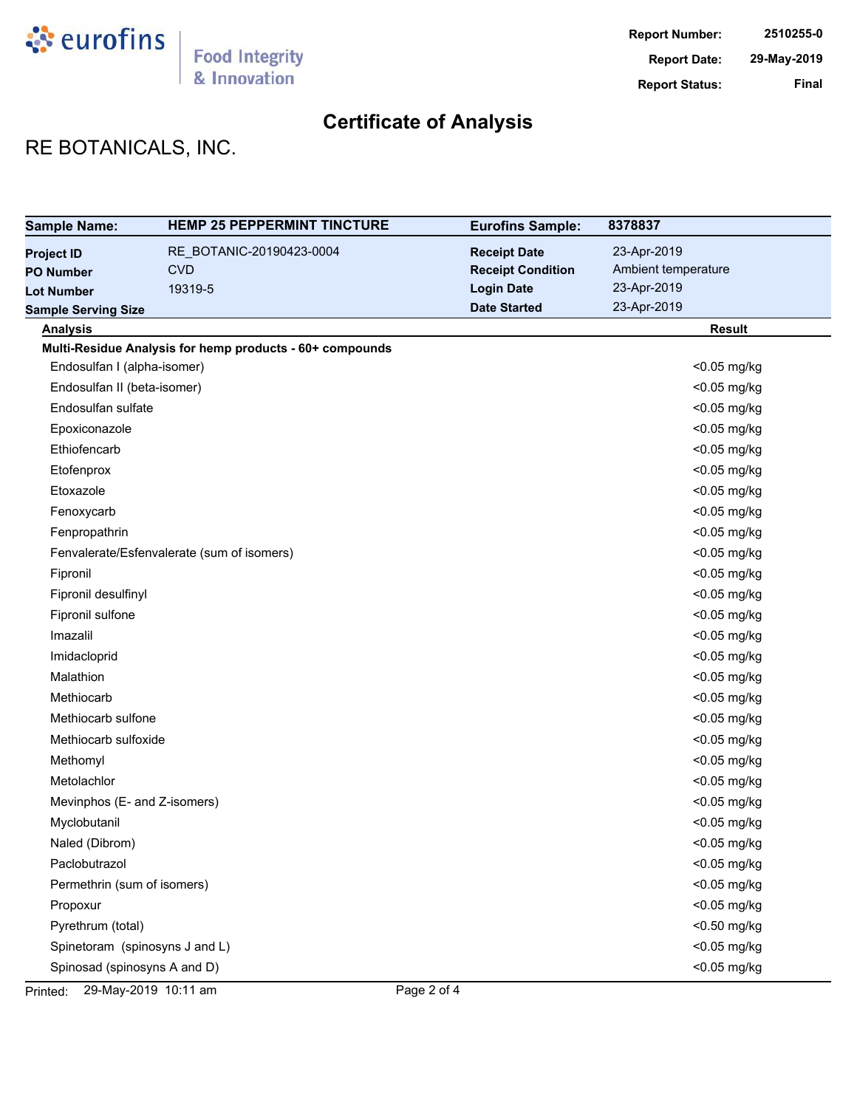

# RE BOTANICALS, INC.

| <b>Sample Name:</b>            | <b>HEMP 25 PEPPERMINT TINCTURE</b>                       | <b>Eurofins Sample:</b>  | 8378837             |
|--------------------------------|----------------------------------------------------------|--------------------------|---------------------|
| <b>Project ID</b>              | RE_BOTANIC-20190423-0004                                 | <b>Receipt Date</b>      | 23-Apr-2019         |
| <b>PO Number</b>               | <b>CVD</b>                                               | <b>Receipt Condition</b> | Ambient temperature |
| <b>Lot Number</b>              | 19319-5                                                  | <b>Login Date</b>        | 23-Apr-2019         |
| <b>Sample Serving Size</b>     |                                                          | <b>Date Started</b>      | 23-Apr-2019         |
| <b>Analysis</b>                |                                                          |                          | <b>Result</b>       |
|                                | Multi-Residue Analysis for hemp products - 60+ compounds |                          |                     |
| Endosulfan I (alpha-isomer)    |                                                          |                          | <0.05 mg/kg         |
| Endosulfan II (beta-isomer)    |                                                          |                          | <0.05 mg/kg         |
| Endosulfan sulfate             |                                                          |                          | <0.05 mg/kg         |
| Epoxiconazole                  |                                                          |                          | <0.05 mg/kg         |
| Ethiofencarb                   |                                                          |                          | <0.05 mg/kg         |
| Etofenprox                     |                                                          |                          | <0.05 mg/kg         |
| Etoxazole                      |                                                          |                          | <0.05 mg/kg         |
| Fenoxycarb                     |                                                          |                          | <0.05 mg/kg         |
| Fenpropathrin                  |                                                          |                          | <0.05 mg/kg         |
|                                | Fenvalerate/Esfenvalerate (sum of isomers)               |                          | <0.05 mg/kg         |
| Fipronil                       |                                                          |                          | <0.05 mg/kg         |
| Fipronil desulfinyl            |                                                          |                          | <0.05 mg/kg         |
| Fipronil sulfone               |                                                          |                          | <0.05 mg/kg         |
| Imazalil                       |                                                          |                          | <0.05 mg/kg         |
| Imidacloprid                   |                                                          |                          | <0.05 mg/kg         |
| Malathion                      |                                                          |                          | <0.05 mg/kg         |
| Methiocarb                     |                                                          |                          | <0.05 mg/kg         |
| Methiocarb sulfone             |                                                          |                          | <0.05 mg/kg         |
| Methiocarb sulfoxide           |                                                          |                          | <0.05 mg/kg         |
| Methomyl                       |                                                          |                          | <0.05 mg/kg         |
| Metolachlor                    |                                                          |                          | <0.05 mg/kg         |
| Mevinphos (E- and Z-isomers)   |                                                          |                          | <0.05 mg/kg         |
| Myclobutanil                   |                                                          |                          | <0.05 mg/kg         |
| Naled (Dibrom)                 |                                                          |                          | <0.05 mg/kg         |
| Paclobutrazol                  |                                                          |                          | <0.05 mg/kg         |
| Permethrin (sum of isomers)    |                                                          |                          | <0.05 mg/kg         |
| Propoxur                       |                                                          |                          | <0.05 mg/kg         |
| Pyrethrum (total)              |                                                          |                          | <0.50 mg/kg         |
| Spinetoram (spinosyns J and L) |                                                          |                          | <0.05 mg/kg         |
| Spinosad (spinosyns A and D)   |                                                          |                          | <0.05 mg/kg         |

Printed: 29-May-2019 10:11 am Page 2 of 4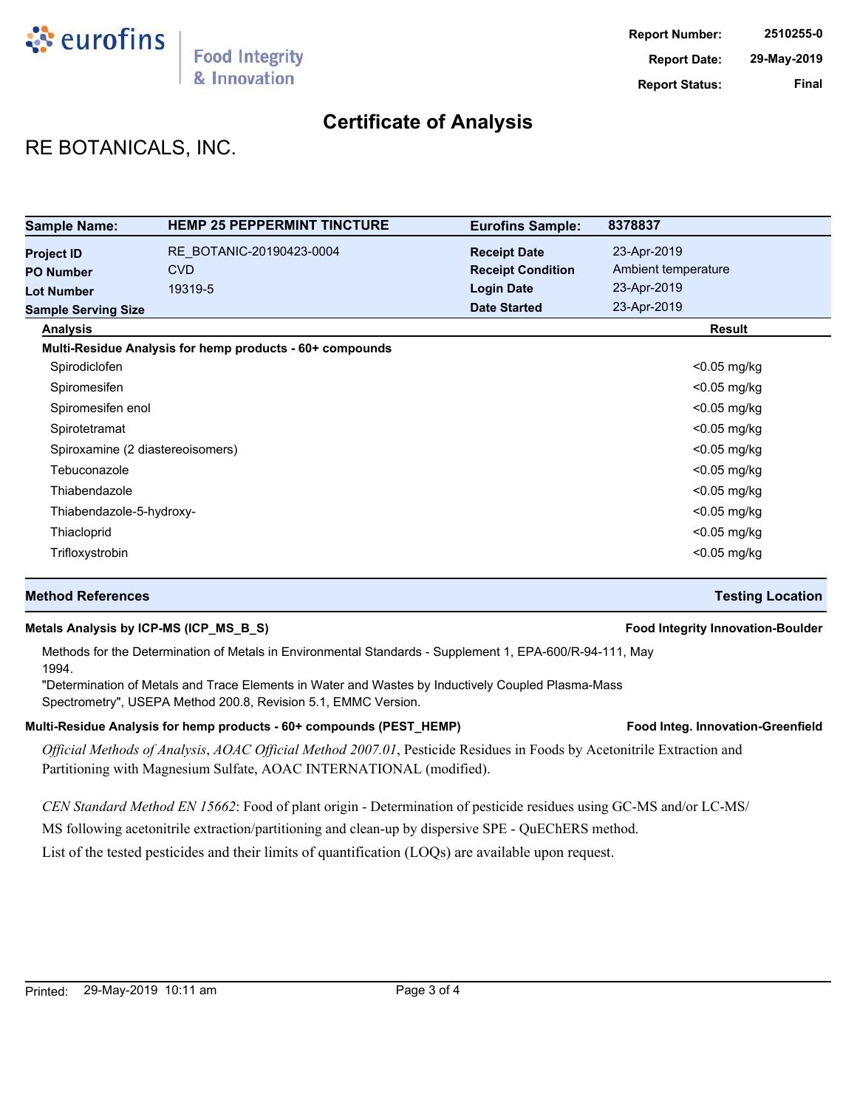

## RE BOTANICALS, INC.

| <b>Sample Name:</b>                                        | <b>HEMP 25 PEPPERMINT TINCTURE</b>                       | <b>Eurofins Sample:</b>                                              | 8378837                                           |
|------------------------------------------------------------|----------------------------------------------------------|----------------------------------------------------------------------|---------------------------------------------------|
| <b>Project ID</b><br><b>PO Number</b><br><b>Lot Number</b> | RE BOTANIC-20190423-0004<br><b>CVD</b><br>19319-5        | <b>Receipt Date</b><br><b>Receipt Condition</b><br><b>Login Date</b> | 23-Apr-2019<br>Ambient temperature<br>23-Apr-2019 |
| <b>Sample Serving Size</b>                                 |                                                          | <b>Date Started</b>                                                  | 23-Apr-2019                                       |
| <b>Analysis</b>                                            |                                                          |                                                                      | <b>Result</b>                                     |
|                                                            | Multi-Residue Analysis for hemp products - 60+ compounds |                                                                      |                                                   |
| Spirodiclofen                                              |                                                          |                                                                      | $<$ 0.05 mg/kg                                    |
| Spiromesifen                                               |                                                          |                                                                      | $<$ 0.05 mg/kg                                    |
| Spiromesifen enol                                          |                                                          |                                                                      | $<$ 0.05 mg/kg                                    |
| Spirotetramat                                              |                                                          |                                                                      | $<$ 0.05 mg/kg                                    |
| Spiroxamine (2 diastereoisomers)                           |                                                          |                                                                      | $<$ 0.05 mg/kg                                    |
| Tebuconazole                                               |                                                          |                                                                      | $<$ 0.05 mg/kg                                    |
| Thiabendazole                                              |                                                          |                                                                      | $<$ 0.05 mg/kg                                    |
| Thiabendazole-5-hydroxy-                                   |                                                          |                                                                      | $<$ 0.05 mg/kg                                    |
| Thiacloprid                                                |                                                          |                                                                      | <0.05 mg/kg                                       |
| Trifloxystrobin                                            |                                                          |                                                                      | $<$ 0.05 mg/kg                                    |

### **Method References Testing Location**

### **Metals Analysis by ICP-MS (ICP\_MS\_B\_S) Food Integrity Innovation-Boulder**

Methods for the Determination of Metals in Environmental Standards - Supplement 1, EPA-600/R-94-111, May 1994.

"Determination of Metals and Trace Elements in Water and Wastes by Inductively Coupled Plasma-Mass Spectrometry", USEPA Method 200.8, Revision 5.1, EMMC Version.

### Multi-Residue Analysis for hemp products - 60+ compounds (PEST\_HEMP) **Food Integ. Innovation-Greenfield**

*Official Methods of Analysis*, *AOAC Official Method 2007.01*, Pesticide Residues in Foods by Acetonitrile Extraction and Partitioning with Magnesium Sulfate, AOAC INTERNATIONAL (modified).

*CEN Standard Method EN 15662*: Food of plant origin - Determination of pesticide residues using GC-MS and/or LC-MS/

MS following acetonitrile extraction/partitioning and clean-up by dispersive SPE - QuEChERS method.

List of the tested pesticides and their limits of quantification (LOQs) are available upon request.